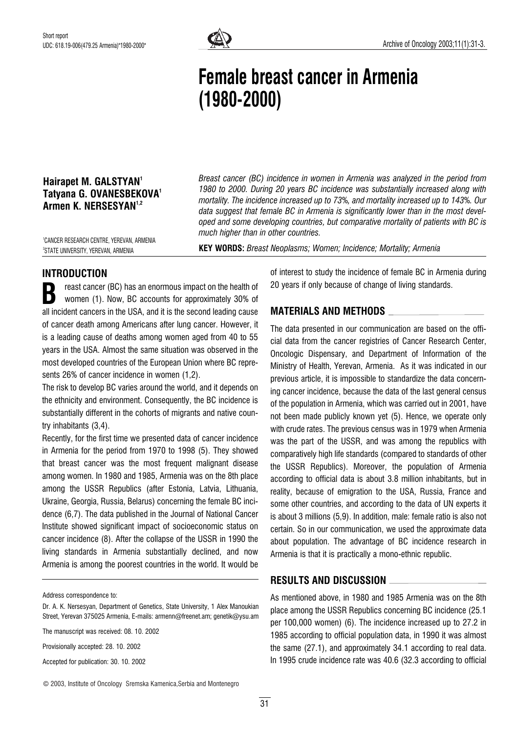

# Female breast cancer in Armenia (1980-2000)

# Hairapet M. GALSTYAN<sup>1</sup> Tatyana G. OVANESBEKOVA' Armen K. NERSESYAN<sup>1,2</sup>

Breast cancer (BC) incidence in women in Armenia was analyzed in the period from 1980 to 2000. During 20 years BC incidence was substantially increased along with mortality. The incidence increased up to 73%, and mortality increased up to 143%. Our data suggest that female BC in Armenia is significantly lower than in the most developed and some developing countries, but comparative mortality of patients with BC is much higher than in other countries.

1 CANCER RESEARCH CENTRE, YEREVAN, ARMENIA 2 STATE UNIVERSITY, YEREVAN, ARMENIA

KEY WORDS: Breast Neoplasms; Women; Incidence; Mortality; Armenia

# INTRODUCTION

reast cancer (BC) has an enormous impact on the health of women (1). Now, BC accounts for approximately 30% of all incident cancers in the USA, and it is the second leading cause of cancer death among Americans after lung cancer. However, it is a leading cause of deaths among women aged from 40 to 55 years in the USA. Almost the same situation was observed in the most developed countries of the European Union where BC represents 26% of cancer incidence in women (1,2). B

The risk to develop BC varies around the world, and it depends on the ethnicity and environment. Consequently, the BC incidence is substantially different in the cohorts of migrants and native country inhabitants (3,4).

Recently, for the first time we presented data of cancer incidence in Armenia for the period from 1970 to 1998 (5). They showed that breast cancer was the most frequent malignant disease among women. In 1980 and 1985, Armenia was on the 8th place among the USSR Republics (after Estonia, Latvia, Lithuania, Ukraine, Georgia, Russia, Belarus) concerning the female BC incidence (6,7). The data published in the Journal of National Cancer Institute showed significant impact of socioeconomic status on cancer incidence (8). After the collapse of the USSR in 1990 the living standards in Armenia substantially declined, and now Armenia is among the poorest countries in the world. It would be

Address correspondence to:

Dr. A. K. Nersesyan, Department of Genetics, State University, 1 Alex Manoukian Street, Yerevan 375025 Armenia, E-mails: armenn@freenet.am; genetik@ysu.am

The manuscript was received: 08. 10. 2002

Provisionally accepted: 28. 10. 2002

Accepted for publication: 30. 10. 2002

© 2003, Institute of Oncology Sremska Kamenica,Serbia and Montenegro

31

of interest to study the incidence of female BC in Armenia during 20 years if only because of change of living standards.

### MATERIALS AND METHODS

The data presented in our communication are based on the official data from the cancer registries of Cancer Research Center, Oncologic Dispensary, and Department of Information of the Ministry of Health, Yerevan, Armenia. As it was indicated in our previous article, it is impossible to standardize the data concerning cancer incidence, because the data of the last general census of the population in Armenia, which was carried out in 2001, have not been made publicly known yet (5). Hence, we operate only with crude rates. The previous census was in 1979 when Armenia was the part of the USSR, and was among the republics with comparatively high life standards (compared to standards of other the USSR Republics). Moreover, the population of Armenia according to official data is about 3.8 million inhabitants, but in reality, because of emigration to the USA, Russia, France and some other countries, and according to the data of UN experts it is about 3 millions (5,9). In addition, male: female ratio is also not certain. So in our communication, we used the approximate data about population. The advantage of BC incidence research in Armenia is that it is practically a mono-ethnic republic.

### RESULTS AND DISCUSSION

As mentioned above, in 1980 and 1985 Armenia was on the 8th place among the USSR Republics concerning BC incidence (25.1 per 100,000 women) (6). The incidence increased up to 27.2 in 1985 according to official population data, in 1990 it was almost the same (27.1), and approximately 34.1 according to real data. In 1995 crude incidence rate was 40.6 (32.3 according to official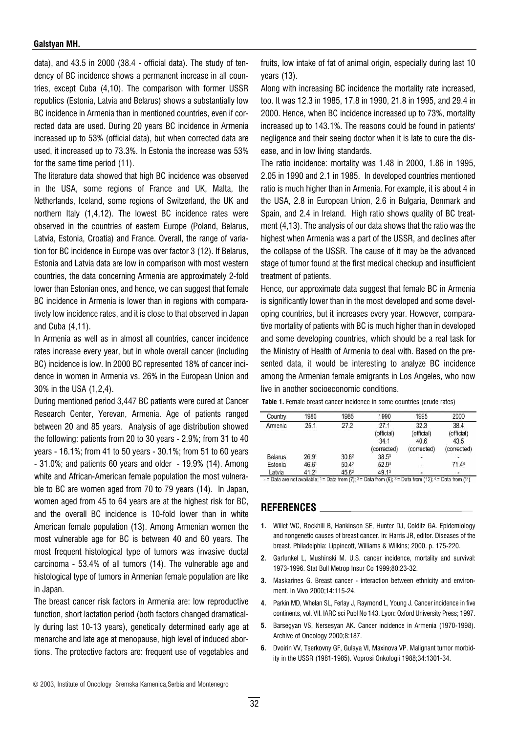#### Galstyan MH.

data), and 43.5 in 2000 (38.4 - official data). The study of tendency of BC incidence shows a permanent increase in all countries, except Cuba (4,10). The comparison with former USSR republics (Estonia, Latvia and Belarus) shows a substantially low BC incidence in Armenia than in mentioned countries, even if corrected data are used. During 20 years BC incidence in Armenia increased up to 53% (official data), but when corrected data are used, it increased up to 73.3%. In Estonia the increase was 53% for the same time period (11).

The literature data showed that high BC incidence was observed in the USA, some regions of France and UK, Malta, the Netherlands, Iceland, some regions of Switzerland, the UK and northern Italy (1,4,12). The lowest BC incidence rates were observed in the countries of eastern Europe (Poland, Belarus, Latvia, Estonia, Croatia) and France. Overall, the range of variation for BC incidence in Europe was over factor 3 (12). If Belarus, Estonia and Latvia data are low in comparison with most western countries, the data concerning Armenia are approximately 2-fold lower than Estonian ones, and hence, we can suggest that female BC incidence in Armenia is lower than in regions with comparatively low incidence rates, and it is close to that observed in Japan and Cuba (4,11).

In Armenia as well as in almost all countries, cancer incidence rates increase every year, but in whole overall cancer (including BC) incidence is low. In 2000 BC represented 18% of cancer incidence in women in Armenia vs. 26% in the European Union and 30% in the USA (1,2,4).

During mentioned period 3,447 BC patients were cured at Cancer Research Center, Yerevan, Armenia. Age of patients ranged between 20 and 85 years. Analysis of age distribution showed the following: patients from 20 to 30 years - 2.9%; from 31 to 40 years - 16.1%; from 41 to 50 years - 30.1%; from 51 to 60 years  $-31.0\%$ ; and patients 60 years and older  $-19.9\%$  (14). Among white and African-American female population the most vulnerable to BC are women aged from 70 to 79 years (14). In Japan, women aged from 45 to 64 years are at the highest risk for BC, and the overall BC incidence is 10-fold lower than in white American female population (13). Among Armenian women the most vulnerable age for BC is between 40 and 60 years. The most frequent histological type of tumors was invasive ductal carcinoma - 53.4% of all tumors (14). The vulnerable age and histological type of tumors in Armenian female population are like in Japan.

The breast cancer risk factors in Armenia are: low reproductive function, short lactation period (both factors changed dramatically during last 10-13 years), genetically determined early age at menarche and late age at menopause, high level of induced abortions. The protective factors are: frequent use of vegetables and fruits, low intake of fat of animal origin, especially during last 10 years (13).

Along with increasing BC incidence the mortality rate increased, too. It was 12.3 in 1985, 17.8 in 1990, 21.8 in 1995, and 29.4 in 2000. Hence, when BC incidence increased up to 73%, mortality increased up to 143.1%. The reasons could be found in patients' negligence and their seeing doctor when it is late to cure the disease, and in low living standards.

The ratio incidence: mortality was 1.48 in 2000, 1.86 in 1995, 2.05 in 1990 and 2.1 in 1985. In developed countries mentioned ratio is much higher than in Armenia. For example, it is about 4 in the USA, 2.8 in European Union, 2.6 in Bulgaria, Denmark and Spain, and 2.4 in Ireland. High ratio shows quality of BC treatment (4,13). The analysis of our data shows that the ratio was the highest when Armenia was a part of the USSR, and declines after the collapse of the USSR. The cause of it may be the advanced stage of tumor found at the first medical checkup and insufficient treatment of patients.

Hence, our approximate data suggest that female BC in Armenia is significantly lower than in the most developed and some developing countries, but it increases every year. However, comparative mortality of patients with BC is much higher than in developed and some developing countries, which should be a real task for the Ministry of Health of Armenia to deal with. Based on the presented data, it would be interesting to analyze BC incidence among the Armenian female emigrants in Los Angeles, who now live in another socioeconomic conditions.

|  |  |  |  |  |  |  | Table 1. Female breast cancer incidence in some countries (crude rates) |  |  |  |
|--|--|--|--|--|--|--|-------------------------------------------------------------------------|--|--|--|
|--|--|--|--|--|--|--|-------------------------------------------------------------------------|--|--|--|

| Country        | 1980              | 1985  | 1990        | 1995        | 2000        |
|----------------|-------------------|-------|-------------|-------------|-------------|
| Armenia        | 25.1              | 27.2  | 27.1        | 32.3        | 38.4        |
|                |                   |       | (official)  | (official)  | (official)  |
|                |                   |       | 34.1        | 40.6        | 43.5        |
|                |                   |       | (corrected) | (corrected) | (corrected) |
| <b>Belarus</b> | 26.9 <sup>1</sup> | 30.82 | $38.5^3$    |             |             |
| Estonia        | 46.61             | 50.42 | 52.93       | ۳           | 71.44       |
| Latvia         | 41.21             | 45.62 | 49.13       | $\sim$      |             |

- = Data are not available;  $1 = Data from (7)$ ;  $2 = Data from (6)$ ;  $3 = Data from (12)$ ;  $4 = Data from (11)$ 

#### REFERENCES

- 1. Willet WC, Rockhill B, Hankinson SE, Hunter DJ, Colditz GA, Epidemiology and nongenetic causes of breast cancer. In: Harris JR, editor. Diseases of the breast. Philadelphia: Lippincott, Williams & Wilkins; 2000. p. 175-220.
- 2. Garfunkel L, Mushinski M. U.S. cancer incidence, mortality and survival: 1973-1996. Stat Bull Metrop Insur Co 1999;80:23-32.
- **3.** Maskarines G. Breast cancer interaction between ethnicity and environment. In Vivo 2000;14:115-24.
- 4. Parkin MD, Whelan SL, Ferlay J, Raymond L, Young J. Cancer incidence in five continents, vol. VII. IARC sci Publ No 143. Lyon: Oxford University Press; 1997.
- 5. Barsegyan VS, Nersesyan AK. Cancer incidence in Armenia (1970-1998). Archive of Oncology 2000;8:187.
- 6. Dvoirin VV, Tserkovny GF, Gulaya VI, Maxinova VP. Malignant tumor morbidity in the USSR (1981-1985). Voprosi Onkologii 1988;34:1301-34.